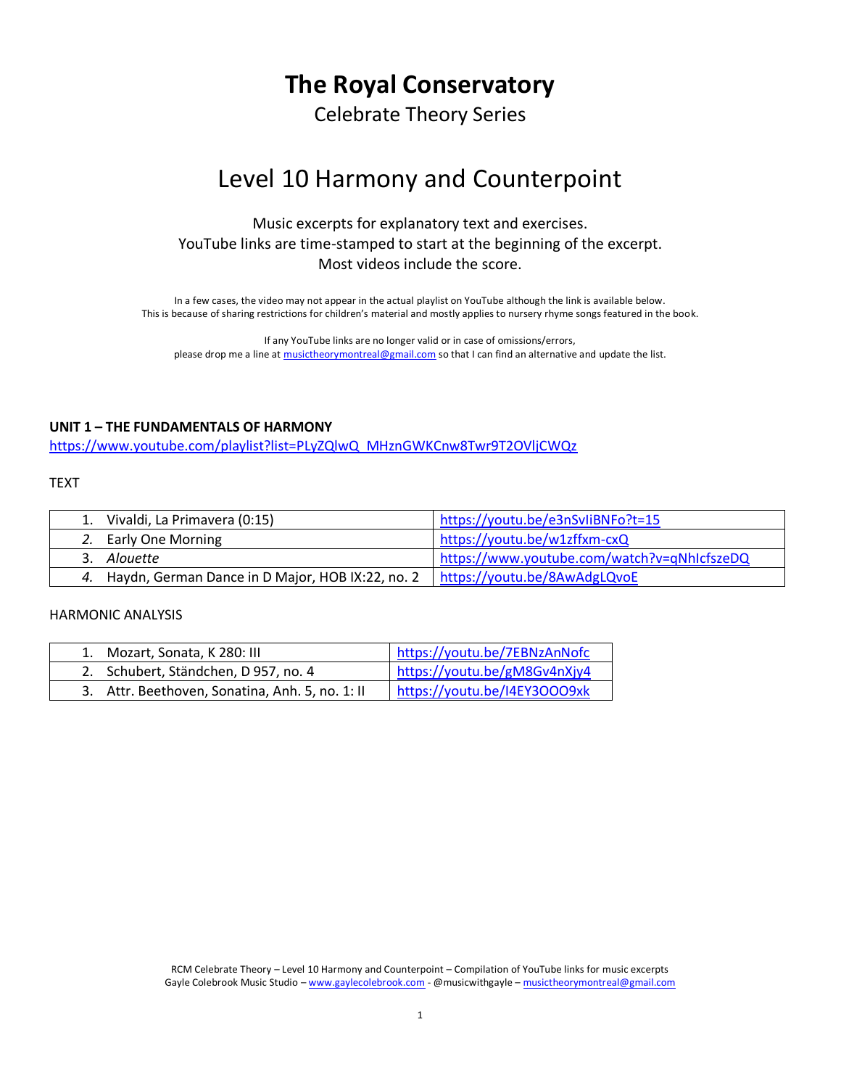# **The Royal Conservatory**

Celebrate Theory Series

# Level 10 Harmony and Counterpoint

# Music excerpts for explanatory text and exercises. YouTube links are time-stamped to start at the beginning of the excerpt. Most videos include the score.

In a few cases, the video may not appear in the actual playlist on YouTube although the link is available below. This is because of sharing restrictions for children's material and mostly applies to nursery rhyme songs featured in the book.

If any YouTube links are no longer valid or in case of omissions/errors, please drop me a line a[t musictheorymontreal@gmail.com](mailto:musictheorymontreal@gmail.com) so that I can find an alternative and update the list.

### **UNIT 1 – THE FUNDAMENTALS OF HARMONY**

[https://www.youtube.com/playlist?list=PLyZQlwQ\\_MHznGWKCnw8Twr9T2OVljCWQz](https://www.youtube.com/playlist?list=PLyZQlwQ_MHznGWKCnw8Twr9T2OVljCWQz)

#### TEXT

| 1. Vivaldi, La Primavera (0:15)                     | https://youtu.be/e3nSvliBNFo?t=15           |
|-----------------------------------------------------|---------------------------------------------|
| 2. Early One Morning                                | https://youtu.be/w1zffxm-cxQ                |
| 3. Alouette                                         | https://www.youtube.com/watch?v=qNhIcfszeDQ |
| 4. Haydn, German Dance in D Major, HOB IX:22, no. 2 | https://youtu.be/8AwAdgLQvoE                |

| 1. Mozart, Sonata, K 280: III                   | https://youtu.be/7EBNzAnNofc |
|-------------------------------------------------|------------------------------|
| 2. Schubert, Ständchen, D 957, no. 4            | https://youtu.be/gM8Gv4nXjy4 |
| 3. Attr. Beethoven, Sonatina, Anh. 5, no. 1: II | https://youtu.be/I4EY3OOO9xk |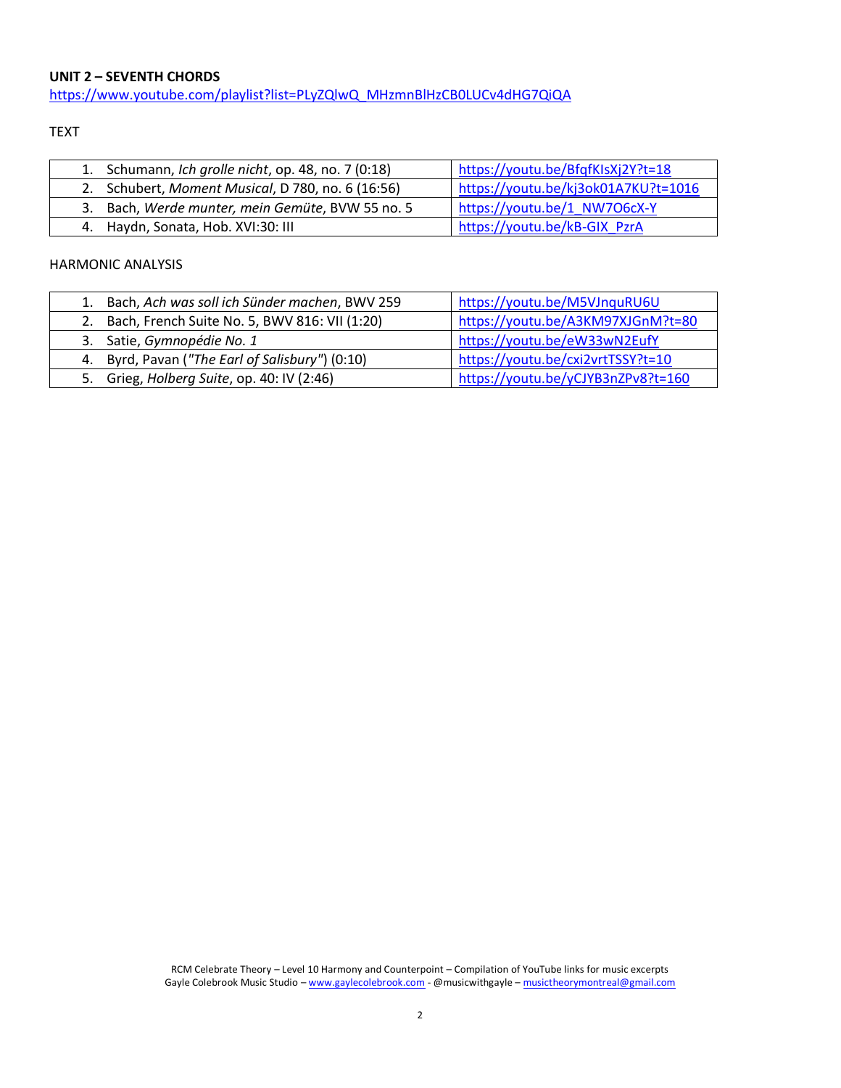# **UNIT 2 – SEVENTH CHORDS**

[https://www.youtube.com/playlist?list=PLyZQlwQ\\_MHzmnBlHzCB0LUCv4dHG7QiQA](https://www.youtube.com/playlist?list=PLyZQlwQ_MHzmnBlHzCB0LUCv4dHG7QiQA)

## TEXT

| 1. Schumann, Ich grolle nicht, op. 48, no. 7 (0:18) | https://youtu.be/BfqfKIsXj2Y?t=18   |
|-----------------------------------------------------|-------------------------------------|
| 2. Schubert, Moment Musical, D 780, no. 6 (16:56)   | https://youtu.be/kj3ok01A7KU?t=1016 |
| 3. Bach, Werde munter, mein Gemüte, BVW 55 no. 5    | https://youtu.be/1 NW7O6cX-Y        |
| 4. Haydn, Sonata, Hob. XVI:30: III                  | https://youtu.be/kB-GIX PzrA        |

| 1. Bach, Ach was soll ich Sünder machen, BWV 259 | https://youtu.be/M5VJnquRU6U       |
|--------------------------------------------------|------------------------------------|
| 2. Bach, French Suite No. 5, BWV 816: VII (1:20) | https://youtu.be/A3KM97XJGnM?t=80  |
| 3. Satie, Gymnopédie No. 1                       | https://youtu.be/eW33wN2EufY       |
| 4. Byrd, Pavan ("The Earl of Salisbury") (0:10)  | https://youtu.be/cxi2vrtTSSY?t=10  |
| Grieg, Holberg Suite, op. 40: IV (2:46)<br>5.    | https://youtu.be/yCJYB3nZPv8?t=160 |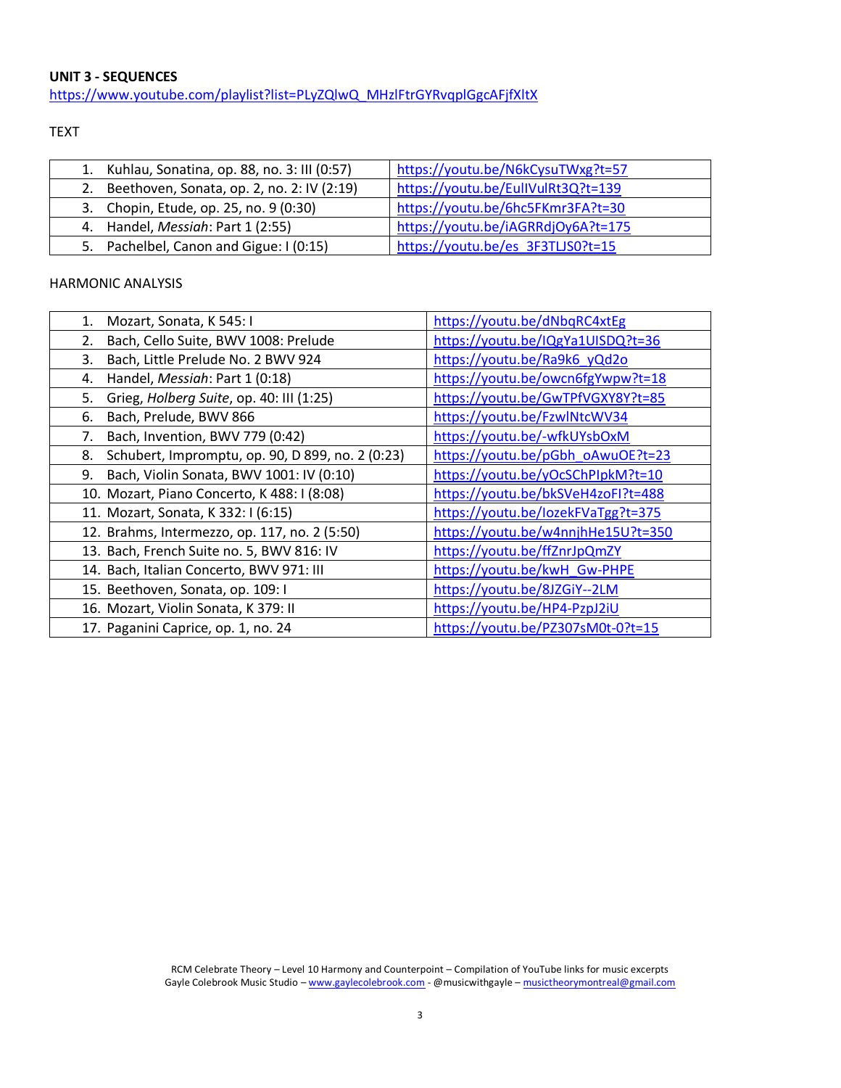**UNIT 3 - SEQUENCES** [https://www.youtube.com/playlist?list=PLyZQlwQ\\_MHzlFtrGYRvqplGgcAFjfXltX](https://www.youtube.com/playlist?list=PLyZQlwQ_MHzlFtrGYRvqplGgcAFjfXltX)

TEXT

| 1. Kuhlau, Sonatina, op. 88, no. 3: III (0:57)   | https://youtu.be/N6kCysuTWxg?t=57  |
|--------------------------------------------------|------------------------------------|
| Beethoven, Sonata, op. 2, no. 2: IV (2:19)<br>2. | https://youtu.be/EullVulRt3Q?t=139 |
| 3. Chopin, Etude, op. 25, no. 9 (0:30)           | https://youtu.be/6hc5FKmr3FA?t=30  |
| 4. Handel, Messiah: Part 1 (2:55)                | https://youtu.be/iAGRRdjOy6A?t=175 |
| 5. Pachelbel, Canon and Gigue: I (0:15)          | https://youtu.be/es 3F3TLJS0?t=15  |

| Mozart, Sonata, K 545: I<br>1.                         | https://youtu.be/dNbqRC4xtEg       |
|--------------------------------------------------------|------------------------------------|
| Bach, Cello Suite, BWV 1008: Prelude<br>2.             | https://youtu.be/IQgYa1UISDQ?t=36  |
| Bach, Little Prelude No. 2 BWV 924<br>3.               | https://youtu.be/Ra9k6_yQd2o       |
| Handel, Messiah: Part 1 (0:18)<br>4.                   | https://youtu.be/owcn6fgYwpw?t=18  |
| Grieg, Holberg Suite, op. 40: III (1:25)<br>5.         | https://youtu.be/GwTPfVGXY8Y?t=85  |
| Bach, Prelude, BWV 866<br>6.                           | https://youtu.be/FzwlNtcWV34       |
| Bach, Invention, BWV 779 (0:42)<br>7.                  | https://youtu.be/-wfkUYsbOxM       |
| Schubert, Impromptu, op. 90, D 899, no. 2 (0:23)<br>8. | https://youtu.be/pGbh_oAwuOE?t=23  |
| Bach, Violin Sonata, BWV 1001: IV (0:10)<br>9.         | https://youtu.be/yOcSChPIpkM?t=10  |
| 10. Mozart, Piano Concerto, K 488: I (8:08)            | https://youtu.be/bkSVeH4zoFI?t=488 |
| 11. Mozart, Sonata, K 332: I (6:15)                    | https://youtu.be/lozekFVaTgg?t=375 |
| 12. Brahms, Intermezzo, op. 117, no. 2 (5:50)          | https://youtu.be/w4nnjhHe15U?t=350 |
| 13. Bach, French Suite no. 5, BWV 816: IV              | https://youtu.be/ffZnrJpQmZY       |
| 14. Bach, Italian Concerto, BWV 971: III               | https://youtu.be/kwH_Gw-PHPE       |
| 15. Beethoven, Sonata, op. 109: I                      | https://youtu.be/8JZGiY--2LM       |
| 16. Mozart, Violin Sonata, K 379: II                   | https://youtu.be/HP4-PzpJ2iU       |
| 17. Paganini Caprice, op. 1, no. 24                    | https://youtu.be/PZ307sM0t-0?t=15  |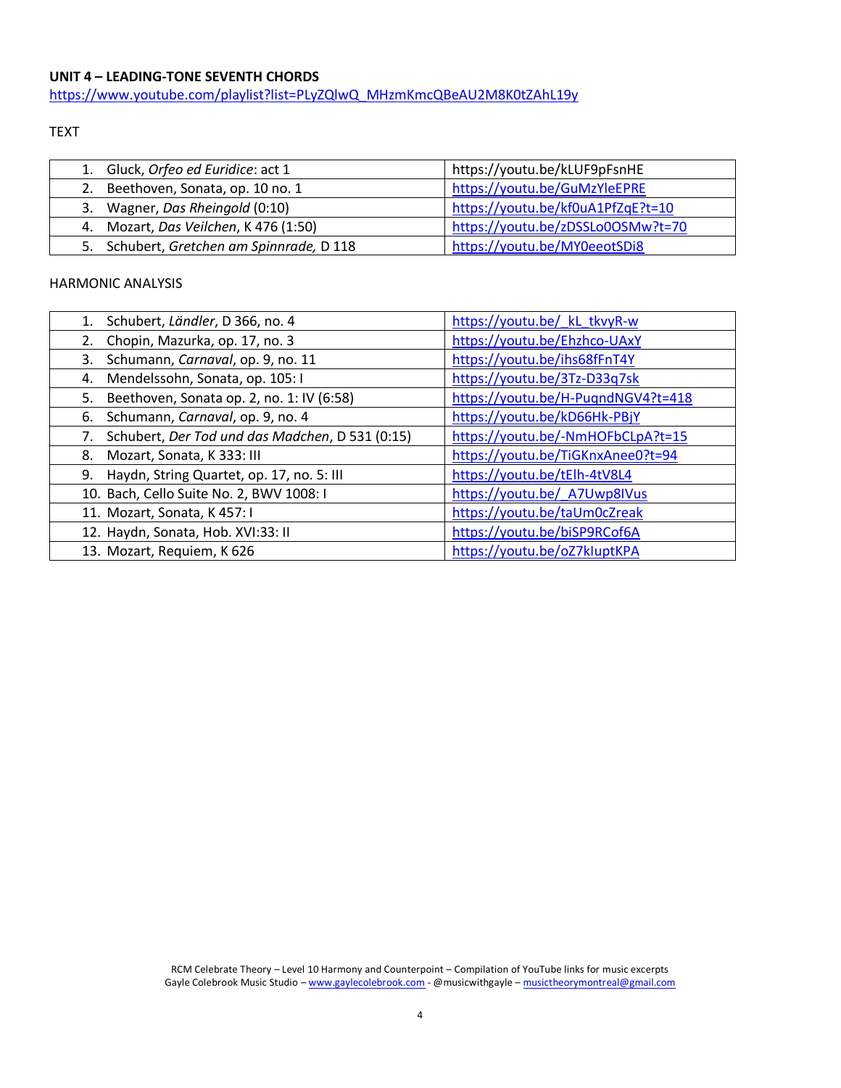## **UNIT 4 – LEADING-TONE SEVENTH CHORDS**

[https://www.youtube.com/playlist?list=PLyZQlwQ\\_MHzmKmcQBeAU2M8K0tZAhL19y](https://www.youtube.com/playlist?list=PLyZQlwQ_MHzmKmcQBeAU2M8K0tZAhL19y)

#### TEXT

| 1. Gluck, Orfeo ed Euridice: act 1        | https://youtu.be/kLUF9pFsnHE      |
|-------------------------------------------|-----------------------------------|
| 2. Beethoven, Sonata, op. 10 no. 1        | https://youtu.be/GuMzYleEPRE      |
| 3. Wagner, Das Rheingold (0:10)           | https://youtu.be/kf0uA1PfZqE?t=10 |
| 4. Mozart, Das Veilchen, K 476 (1:50)     | https://youtu.be/zDSSLo0OSMw?t=70 |
| 5. Schubert, Gretchen am Spinnrade, D 118 | https://youtu.be/MY0eeotSDi8      |

| Schubert, Ländler, D 366, no. 4<br>1.                 | https://youtu.be/ kL tkvyR-w       |
|-------------------------------------------------------|------------------------------------|
| Chopin, Mazurka, op. 17, no. 3<br>2.                  | https://youtu.be/Ehzhco-UAxY       |
| Schumann, Carnaval, op. 9, no. 11<br>3.               | https://youtu.be/ihs68fFnT4Y       |
| Mendelssohn, Sonata, op. 105: I<br>4.                 | https://youtu.be/3Tz-D33q7sk       |
| Beethoven, Sonata op. 2, no. 1: IV (6:58)<br>5.       | https://youtu.be/H-PugndNGV4?t=418 |
| Schumann, Carnaval, op. 9, no. 4<br>6.                | https://youtu.be/kD66Hk-PBjY       |
| Schubert, Der Tod und das Madchen, D 531 (0:15)<br>7. | https://youtu.be/-NmHOFbCLpA?t=15  |
| Mozart, Sonata, K 333: III<br>8.                      | https://youtu.be/TiGKnxAnee0?t=94  |
| Haydn, String Quartet, op. 17, no. 5: III<br>9.       | https://youtu.be/tElh-4tV8L4       |
| 10. Bach, Cello Suite No. 2, BWV 1008: I              | https://youtu.be/ A7Uwp8IVus       |
| 11. Mozart, Sonata, K 457: I                          | https://youtu.be/taUm0cZreak       |
| 12. Haydn, Sonata, Hob. XVI:33: II                    | https://youtu.be/biSP9RCof6A       |
| 13. Mozart, Requiem, K 626                            | https://youtu.be/oZ7kluptKPA       |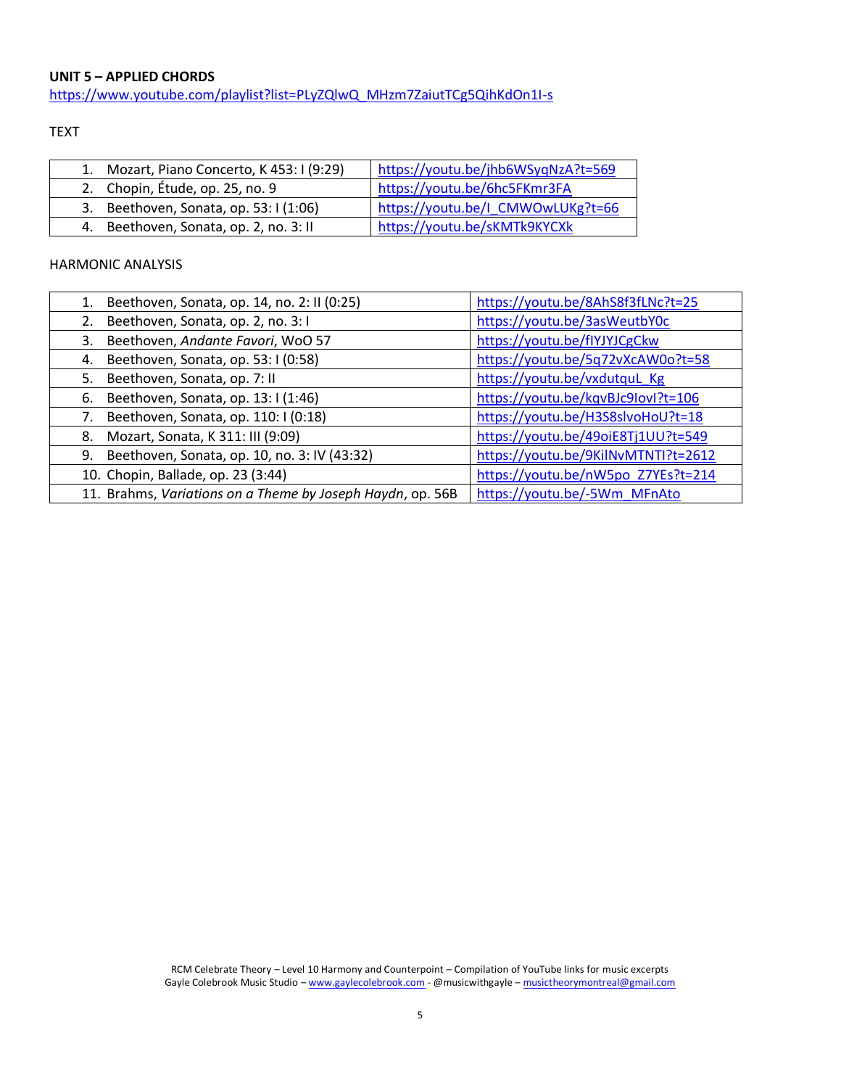#### **UNIT 5 – APPLIED CHORDS**

[https://www.youtube.com/playlist?list=PLyZQlwQ\\_MHzm7ZaiutTCg5QihKdOn1I-s](https://www.youtube.com/playlist?list=PLyZQlwQ_MHzm7ZaiutTCg5QihKdOn1I-s)

TEXT

| 1. Mozart, Piano Concerto, K 453: I (9:29) | https://youtu.be/jhb6WSyqNzA?t=569 |
|--------------------------------------------|------------------------------------|
| 2. Chopin, Étude, op. 25, no. 9            | https://youtu.be/6hc5FKmr3FA       |
| 3. Beethoven, Sonata, op. 53: I (1:06)     | https://youtu.be/I CMWOwLUKg?t=66  |
| 4. Beethoven, Sonata, op. 2, no. 3: II     | https://youtu.be/sKMTk9KYCXk       |

| 1. | Beethoven, Sonata, op. 14, no. 2: II (0:25)                | https://youtu.be/8AhS8f3fLNc?t=25   |
|----|------------------------------------------------------------|-------------------------------------|
|    | Beethoven, Sonata, op. 2, no. 3:1                          | https://youtu.be/3asWeutbY0c        |
| 3. | Beethoven, Andante Favori, WoO 57                          | https://youtu.be/flYJYJCgCkw        |
| 4. | Beethoven, Sonata, op. 53: I (0:58)                        | https://youtu.be/5q72vXcAW0o?t=58   |
| 5. | Beethoven, Sonata, op. 7: II                               | https://youtu.be/vxdutquL Kg        |
| 6. | Beethoven, Sonata, op. 13:1(1:46)                          | https://youtu.be/kqvBJc9lovl?t=106  |
|    | Beethoven, Sonata, op. 110: I (0:18)                       | https://youtu.be/H3S8slvoHoU?t=18   |
| 8. | Mozart, Sonata, K 311: III (9:09)                          | https://youtu.be/49oiE8Tj1UU?t=549  |
| 9. | Beethoven, Sonata, op. 10, no. 3: IV (43:32)               | https://youtu.be/9KilNvMTNTI?t=2612 |
|    | 10. Chopin, Ballade, op. 23 (3:44)                         | https://youtu.be/nW5po Z7YEs?t=214  |
|    | 11. Brahms, Variations on a Theme by Joseph Haydn, op. 56B | https://youtu.be/-5Wm MFnAto        |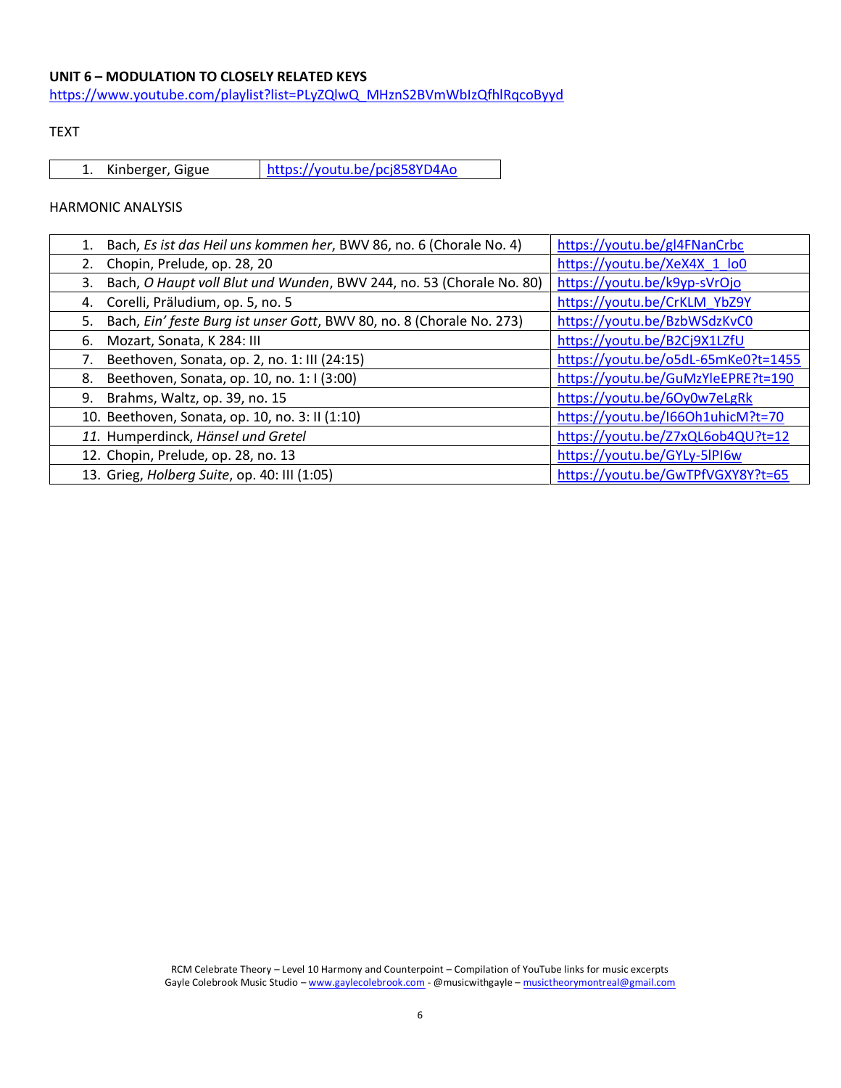# **UNIT 6 – MODULATION TO CLOSELY RELATED KEYS**

[https://www.youtube.com/playlist?list=PLyZQlwQ\\_MHznS2BVmWbIzQfhlRqcoByyd](https://www.youtube.com/playlist?list=PLyZQlwQ_MHznS2BVmWbIzQfhlRqcoByyd)

### TEXT

1. Kinberger, Gigue <https://youtu.be/pcj858YD4Ao>

| Bach, Es ist das Heil uns kommen her, BWV 86, no. 6 (Chorale No. 4)         | https://youtu.be/gl4FNanCrbc        |
|-----------------------------------------------------------------------------|-------------------------------------|
| Chopin, Prelude, op. 28, 20<br>2.                                           | https://youtu.be/XeX4X 1 lo0        |
| Bach, O Haupt voll Blut und Wunden, BWV 244, no. 53 (Chorale No. 80)<br>3.  | https://youtu.be/k9yp-sVrOjo        |
| Corelli, Präludium, op. 5, no. 5<br>4.                                      | https://youtu.be/CrKLM YbZ9Y        |
| Bach, Ein' feste Burg ist unser Gott, BWV 80, no. 8 (Chorale No. 273)<br>5. | https://youtu.be/BzbWSdzKvC0        |
| Mozart, Sonata, K 284: III<br>6.                                            | https://youtu.be/B2Cj9X1LZfU        |
| Beethoven, Sonata, op. 2, no. 1: III (24:15)                                | https://youtu.be/o5dL-65mKe0?t=1455 |
| Beethoven, Sonata, op. 10, no. 1:1(3:00)<br>8.                              | https://youtu.be/GuMzYleEPRE?t=190  |
| 9. Brahms, Waltz, op. 39, no. 15                                            | https://youtu.be/6Oy0w7eLgRk        |
| 10. Beethoven, Sonata, op. 10, no. 3: II (1:10)                             | https://youtu.be/I66Oh1uhicM?t=70   |
| 11. Humperdinck, Hänsel und Gretel                                          | https://youtu.be/Z7xQL6ob4QU?t=12   |
| 12. Chopin, Prelude, op. 28, no. 13                                         | https://youtu.be/GYLy-5lPI6w        |
| 13. Grieg, Holberg Suite, op. 40: III (1:05)                                | https://youtu.be/GwTPfVGXY8Y?t=65   |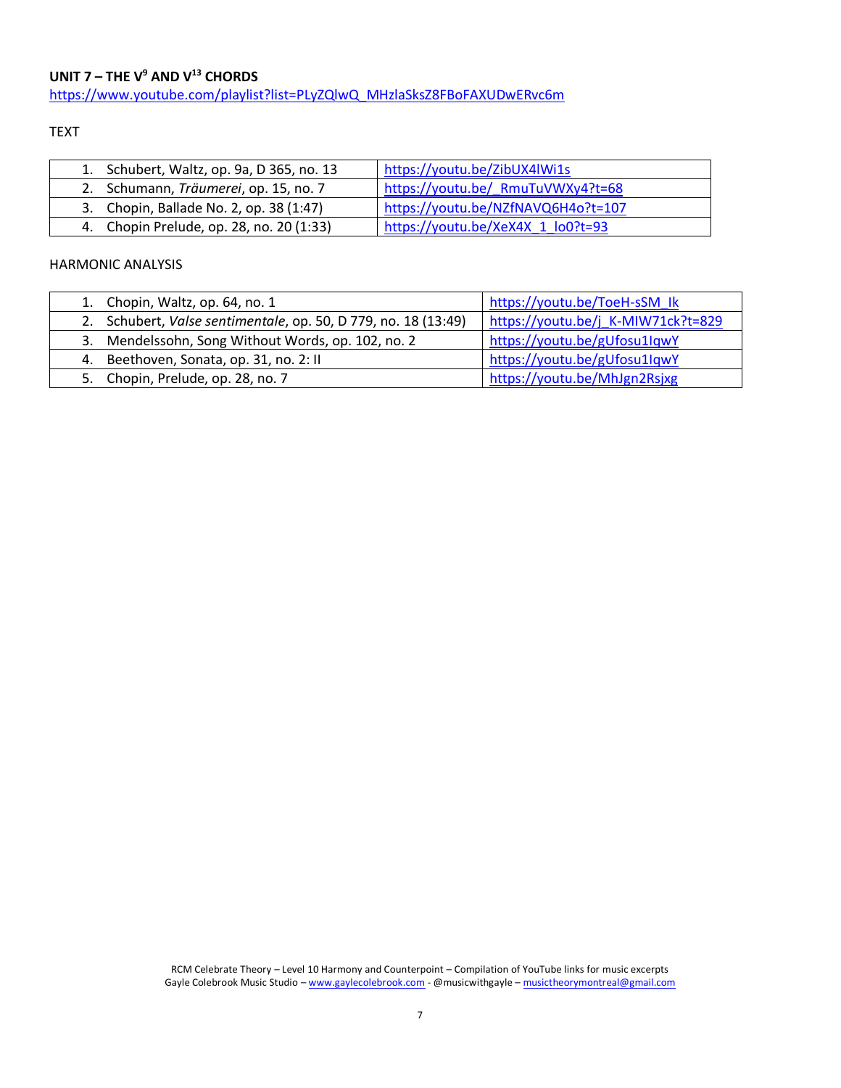# **UNIT 7 – THE V<sup>9</sup> AND V<sup>13</sup> CHORDS** [https://www.youtube.com/playlist?list=PLyZQlwQ\\_MHzlaSksZ8FBoFAXUDwERvc6m](https://www.youtube.com/playlist?list=PLyZQlwQ_MHzlaSksZ8FBoFAXUDwERvc6m)

### TEXT

| 1. Schubert, Waltz, op. 9a, D 365, no. 13 | https://youtu.be/ZibUX4lWi1s       |
|-------------------------------------------|------------------------------------|
| 2. Schumann, Träumerei, op. 15, no. 7     | https://youtu.be/ RmuTuVWXy4?t=68  |
| 3. Chopin, Ballade No. 2, op. 38 (1:47)   | https://youtu.be/NZfNAVQ6H4o?t=107 |
| 4. Chopin Prelude, op. 28, no. 20 (1:33)  | https://youtu.be/XeX4X 1 lo0?t=93  |

| 1. Chopin, Waltz, op. 64, no. 1                                | https://youtu.be/ToeH-sSM lk       |
|----------------------------------------------------------------|------------------------------------|
| 2. Schubert, Valse sentimentale, op. 50, D 779, no. 18 (13:49) | https://youtu.be/j K-MIW71ck?t=829 |
| 3. Mendelssohn, Song Without Words, op. 102, no. 2             | https://youtu.be/gUfosu1lqwY       |
| 4. Beethoven, Sonata, op. 31, no. 2: II                        | https://youtu.be/gUfosu1lqwY       |
| 5. Chopin, Prelude, op. 28, no. 7                              | https://youtu.be/MhJgn2Rsjxg       |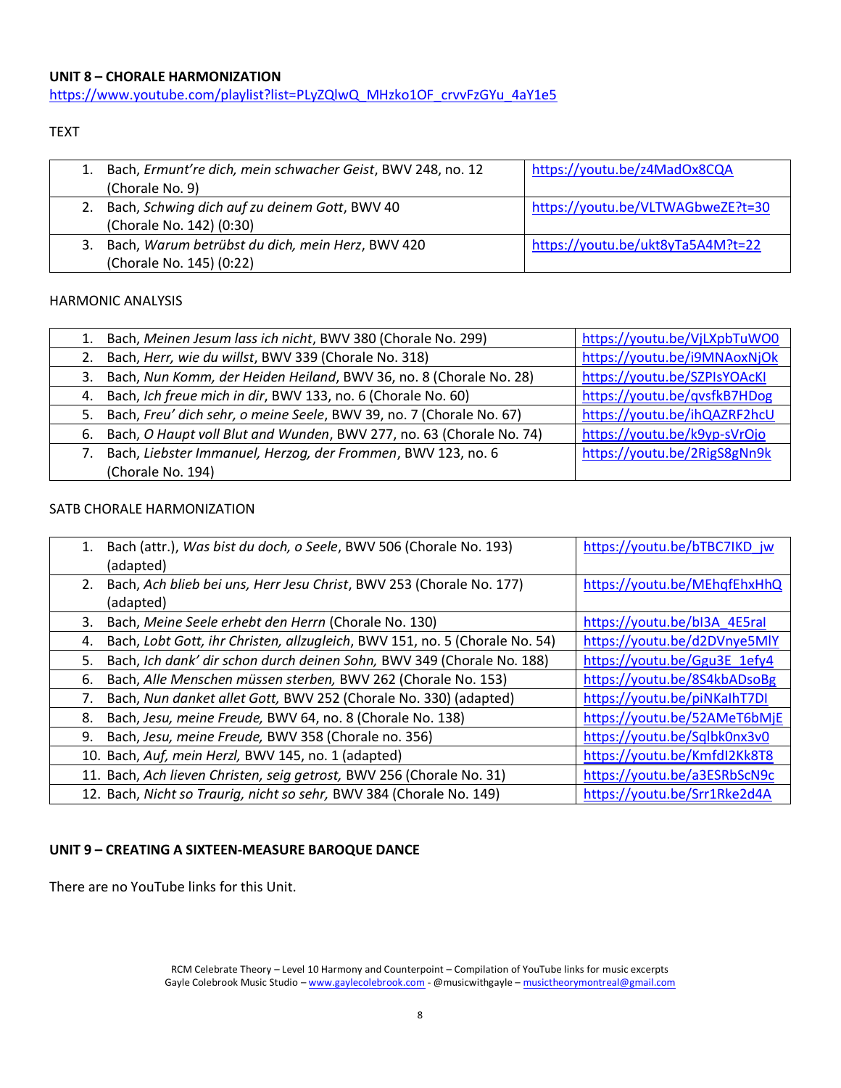# **UNIT 8 – CHORALE HARMONIZATION**

[https://www.youtube.com/playlist?list=PLyZQlwQ\\_MHzko1OF\\_crvvFzGYu\\_4aY1e5](https://www.youtube.com/playlist?list=PLyZQlwQ_MHzko1OF_crvvFzGYu_4aY1e5)

# TEXT

| 1. Bach, Ermunt're dich, mein schwacher Geist, BWV 248, no. 12<br>(Chorale No. 9) | https://youtu.be/z4MadOx8CQA      |
|-----------------------------------------------------------------------------------|-----------------------------------|
| 2. Bach, Schwing dich auf zu deinem Gott, BWV 40<br>(Chorale No. 142) (0:30)      | https://youtu.be/VLTWAGbweZE?t=30 |
| 3. Bach, Warum betrübst du dich, mein Herz, BWV 420<br>(Chorale No. 145) (0:22)   | https://youtu.be/ukt8yTa5A4M?t=22 |

#### HARMONIC ANALYSIS

| 1. | Bach, Meinen Jesum lass ich nicht, BWV 380 (Chorale No. 299)            | https://youtu.be/VjLXpbTuWO0 |
|----|-------------------------------------------------------------------------|------------------------------|
|    | 2. Bach, Herr, wie du willst, BWV 339 (Chorale No. 318)                 | https://youtu.be/i9MNAoxNjOk |
|    | 3. Bach, Nun Komm, der Heiden Heiland, BWV 36, no. 8 (Chorale No. 28)   | https://youtu.be/SZPIsYOAcKI |
|    | 4. Bach, Ich freue mich in dir, BWV 133, no. 6 (Chorale No. 60)         | https://youtu.be/qvsfkB7HDog |
|    | 5. Bach, Freu' dich sehr, o meine Seele, BWV 39, no. 7 (Chorale No. 67) | https://youtu.be/ihQAZRF2hcU |
|    | 6. Bach, O Haupt voll Blut and Wunden, BWV 277, no. 63 (Chorale No. 74) | https://youtu.be/k9yp-sVrOjo |
|    | Bach, Liebster Immanuel, Herzog, der Frommen, BWV 123, no. 6            | https://youtu.be/2RigS8gNn9k |
|    | (Chorale No. 194)                                                       |                              |

# SATB CHORALE HARMONIZATION

| 1. | Bach (attr.), Was bist du doch, o Seele, BWV 506 (Chorale No. 193)<br>(adapted)   | https://youtu.be/bTBC7IKD jw |
|----|-----------------------------------------------------------------------------------|------------------------------|
| 2. | Bach, Ach blieb bei uns, Herr Jesu Christ, BWV 253 (Chorale No. 177)<br>(adapted) | https://youtu.be/MEhqfEhxHhQ |
| 3. | Bach, Meine Seele erhebt den Herrn (Chorale No. 130)                              | https://youtu.be/bl3A 4E5ral |
| 4. | Bach, Lobt Gott, ihr Christen, allzugleich, BWV 151, no. 5 (Chorale No. 54)       | https://youtu.be/d2DVnye5MlY |
| 5. | Bach, Ich dank' dir schon durch deinen Sohn, BWV 349 (Chorale No. 188)            | https://youtu.be/Ggu3E 1efy4 |
| 6. | Bach, Alle Menschen müssen sterben, BWV 262 (Chorale No. 153)                     | https://youtu.be/8S4kbADsoBg |
|    | Bach, Nun danket allet Gott, BWV 252 (Chorale No. 330) (adapted)                  | https://youtu.be/piNKalhT7DI |
| 8. | Bach, Jesu, meine Freude, BWV 64, no. 8 (Chorale No. 138)                         | https://youtu.be/52AMeT6bMjE |
| 9. | Bach, Jesu, meine Freude, BWV 358 (Chorale no. 356)                               | https://youtu.be/Sqlbk0nx3v0 |
|    | 10. Bach, Auf, mein Herzl, BWV 145, no. 1 (adapted)                               | https://youtu.be/KmfdI2Kk8T8 |
|    | 11. Bach, Ach lieven Christen, seig getrost, BWV 256 (Chorale No. 31)             | https://youtu.be/a3ESRbScN9c |
|    | 12. Bach, Nicht so Traurig, nicht so sehr, BWV 384 (Chorale No. 149)              | https://youtu.be/Srr1Rke2d4A |

# **UNIT 9 – CREATING A SIXTEEN-MEASURE BAROQUE DANCE**

There are no YouTube links for this Unit.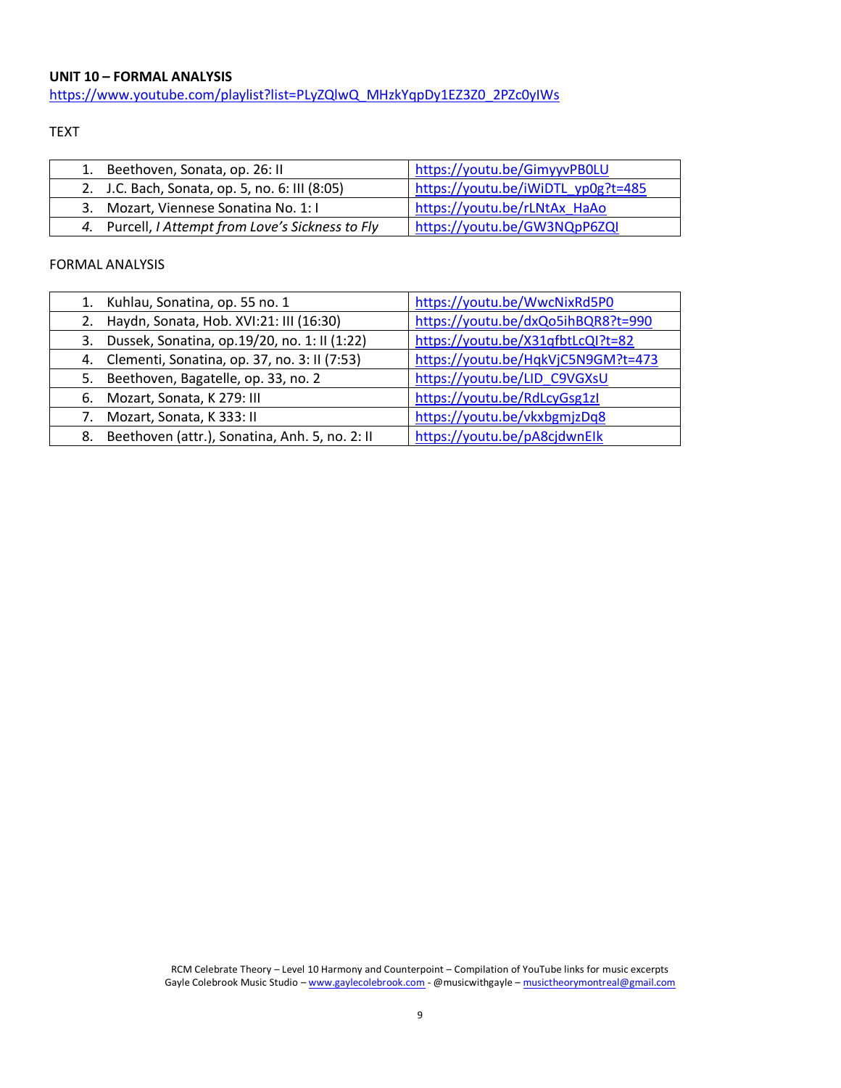# **UNIT 10 – FORMAL ANALYSIS**

[https://www.youtube.com/playlist?list=PLyZQlwQ\\_MHzkYqpDy1EZ3Z0\\_2PZc0yIWs](https://www.youtube.com/playlist?list=PLyZQlwQ_MHzkYqpDy1EZ3Z0_2PZc0yIWs)

# TEXT

| Beethoven, Sonata, op. 26: II                     | https://youtu.be/GimyyvPB0LU       |
|---------------------------------------------------|------------------------------------|
| 2. J.C. Bach, Sonata, op. 5, no. 6: III (8:05)    | https://youtu.be/iWiDTL yp0g?t=485 |
| 3. Mozart, Viennese Sonatina No. 1:1              | https://youtu.be/rLNtAx HaAo       |
| 4. Purcell, I Attempt from Love's Sickness to Fly | https://youtu.be/GW3NQpP6ZQI       |

# FORMAL ANALYSIS

|    | Kuhlau, Sonatina, op. 55 no. 1                  | https://youtu.be/WwcNixRd5P0       |
|----|-------------------------------------------------|------------------------------------|
|    | Haydn, Sonata, Hob. XVI:21: III (16:30)         | https://youtu.be/dxQo5ihBQR8?t=990 |
| 3. | Dussek, Sonatina, op.19/20, no. 1: II (1:22)    | https://youtu.be/X31qfbtLcQl?t=82  |
|    | 4. Clementi, Sonatina, op. 37, no. 3: II (7:53) | https://youtu.be/HqkVjC5N9GM?t=473 |
| 5. | Beethoven, Bagatelle, op. 33, no. 2             | https://youtu.be/LID C9VGXsU       |
| 6. | Mozart, Sonata, K 279: III                      | https://youtu.be/RdLcyGsg1zl       |
|    | Mozart, Sonata, K333: II                        | https://youtu.be/vkxbgmjzDq8       |
| 8. | Beethoven (attr.), Sonatina, Anh. 5, no. 2: II  | https://youtu.be/pA8cjdwnElk       |